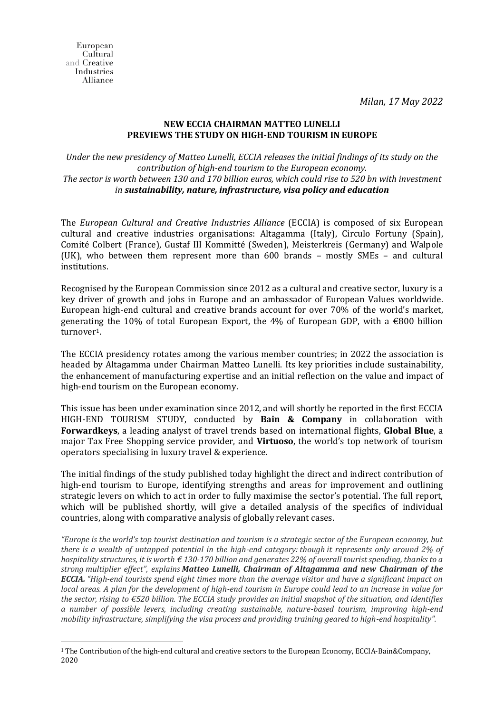*Milan, 17 May 2022*

## **NEW ECCIA CHAIRMAN MATTEO LUNELLI PREVIEWS THE STUDY ON HIGH-END TOURISM IN EUROPE**

*Under the new presidency of Matteo Lunelli, ECCIA releases the initial findings of its study on the contribution of high-end tourism to the European economy. The sector is worth between 130 and 170 billion euros, which could rise to 520 bn with investment in sustainability, nature, infrastructure, visa policy and education*

The *European Cultural and Creative Industries Alliance* (ECCIA) is composed of six European cultural and creative industries organisations: Altagamma (Italy), Circulo Fortuny (Spain), Comité Colbert (France), Gustaf III Kommitté (Sweden), Meisterkreis (Germany) and Walpole (UK), who between them represent more than 600 brands – mostly SMEs – and cultural institutions.

Recognised by the European Commission since 2012 as a cultural and creative sector, luxury is a key driver of growth and jobs in Europe and an ambassador of European Values worldwide. European high-end cultural and creative brands account for over 70% of the world's market, generating the 10% of total European Export, the 4% of European GDP, with a  $\epsilon$ 800 billion turnover1.

The ECCIA presidency rotates among the various member countries; in 2022 the association is headed by Altagamma under Chairman Matteo Lunelli. Its key priorities include sustainability, the enhancement of manufacturing expertise and an initial reflection on the value and impact of high-end tourism on the European economy.

This issue has been under examination since 2012, and will shortly be reported in the first ECCIA HIGH-END TOURISM STUDY, conducted by **Bain & Company** in collaboration with **Forwardkeys**, a leading analyst of travel trends based on international flights, **Global Blue**, a major Tax Free Shopping service provider, and **Virtuoso**, the world's top network of tourism operators specialising in luxury travel & experience.

The initial findings of the study published today highlight the direct and indirect contribution of high-end tourism to Europe, identifying strengths and areas for improvement and outlining strategic levers on which to act in order to fully maximise the sector's potential. The full report, which will be published shortly, will give a detailed analysis of the specifics of individual countries, along with comparative analysis of globally relevant cases.

*"Europe is the world's top tourist destination and tourism is a strategic sector of the European economy, but there is a wealth of untapped potential in the high-end category: though it represents only around 2% of hospitality structures, it is worth € 130-170 billion and generates 22% of overall tourist spending, thanks to a strong multiplier effect", explains Matteo Lunelli, Chairman of Altagamma and new Chairman of the ECCIA. "High-end tourists spend eight times more than the average visitor and have a significant impact on local areas. A plan for the development of high-end tourism in Europe could lead to an increase in value for the sector, rising to €520 billion. The ECCIA study provides an initial snapshot of the situation, and identifies a number of possible levers, including creating sustainable, nature-based tourism, improving high-end mobility infrastructure, simplifying the visa process and providing training geared to high-end hospitality".*

<sup>1</sup> The Contribution of the high-end cultural and creative sectors to the European Economy, ECCIA-Bain&Company, 2020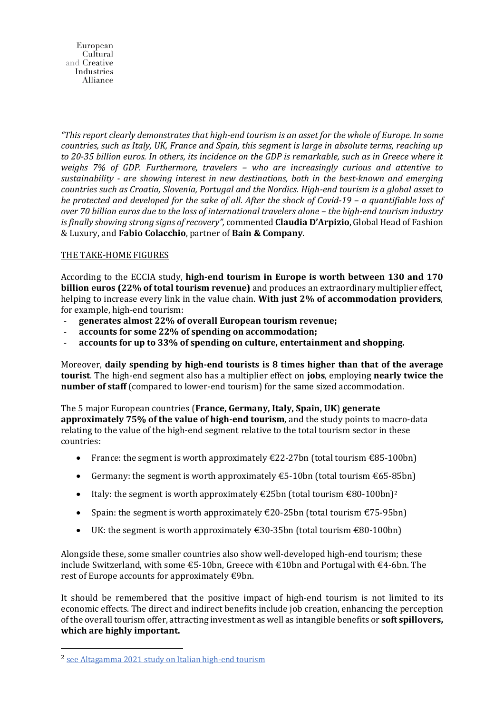European Cultural and Creative **Industries** Alliance

*"This report clearly demonstrates that high-end tourism is an asset for the whole of Europe. In some countries, such as Italy, UK, France and Spain, this segment is large in absolute terms, reaching up to 20-35 billion euros. In others, its incidence on the GDP is remarkable, such as in Greece where it weighs 7% of GDP. Furthermore, travelers – who are increasingly curious and attentive to sustainability - are showing interest in new destinations, both in the best-known and emerging countries such as Croatia, Slovenia, Portugal and the Nordics. High-end tourism is a global asset to be protected and developed for the sake of all. After the shock of Covid-19 – a quantifiable loss of over 70 billion euros due to the loss of international travelers alone – the high-end tourism industry is finally showing strong signs of recovery",* commented **Claudia D'Arpizio**, Global Head of Fashion & Luxury, and **Fabio Colacchio**, partner of **Bain & Company**.

## THE TAKE-HOME FIGURES

According to the ECCIA study, **high-end tourism in Europe is worth between 130 and 170 billion euros (22% of total tourism revenue)** and produces an extraordinary multiplier effect, helping to increase every link in the value chain. **With just 2% of accommodation providers**, for example, high-end tourism:

- **generates almost 22% of overall European tourism revenue;**
- **accounts for some 22% of spending on accommodation;**
- **accounts for up to 33% of spending on culture, entertainment and shopping.**

Moreover, **daily spending by high-end tourists is 8 times higher than that of the average tourist**. The high-end segment also has a multiplier effect on **jobs**, employing **nearly twice the number of staff** (compared to lower-end tourism) for the same sized accommodation.

The 5 major European countries (**France, Germany, Italy, Spain, UK**) **generate approximately 75% of the value of high-end tourism**, and the study points to macro-data relating to the value of the high-end segment relative to the total tourism sector in these countries:

- France: the segment is worth approximately  $\text{\textsterling}22\text{-}27$ bn (total tourism  $\text{\textsterling}85\text{-}100$ bn)
- Germany: the segment is worth approximately  $\epsilon$ 5-10bn (total tourism  $\epsilon$ 65-85bn)
- Italy: the segment is worth approximately  $\epsilon$ 25bn (total tourism  $\epsilon$ 80-100bn)<sup>2</sup>
- Spain: the segment is worth approximately  $\epsilon$ 20-25bn (total tourism  $\epsilon$ 75-95bn)
- UK: the segment is worth approximately  $\epsilon$ 30-35bn (total tourism  $\epsilon$ 80-100bn)

Alongside these, some smaller countries also show well-developed high-end tourism; these include Switzerland, with some €5-10bn, Greece with €10bn and Portugal with €4-6bn. The rest of Europe accounts for approximately  $\epsilon$ 9bn.

It should be remembered that the positive impact of high-end tourism is not limited to its economic effects. The direct and indirect benefits include job creation, enhancing the perception of the overalltourism offer, attracting investment as well as intangible benefits or **soft spillovers, which are highly important.**

<sup>&</sup>lt;sup>2</sup> see [Altagamma](https://altagamma.it/media/source/CS%2520Giornata%2520Altagamma%2520Turismo_2505_FINALdocx.pdf) 2021 study on Italian high-end tourism